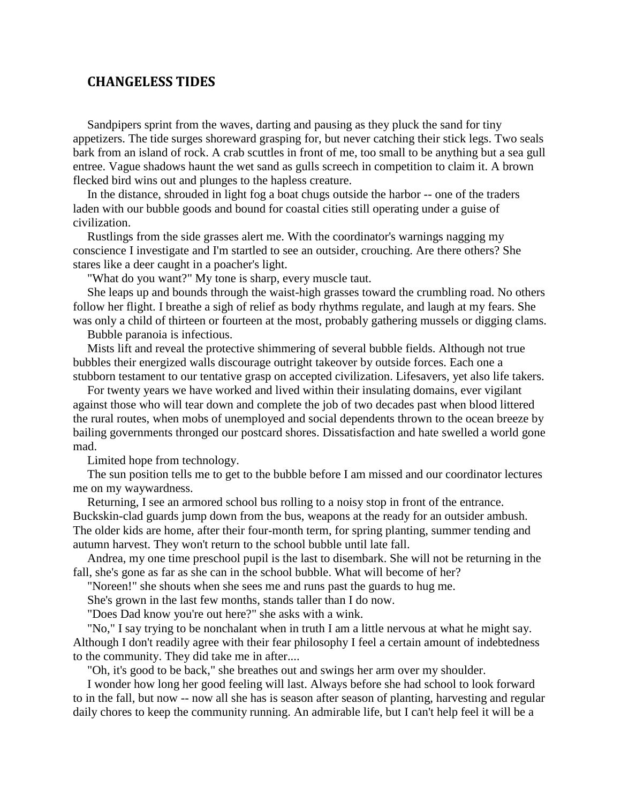## **CHANGELESS TIDES**

Sandpipers sprint from the waves, darting and pausing as they pluck the sand for tiny appetizers. The tide surges shoreward grasping for, but never catching their stick legs. Two seals bark from an island of rock. A crab scuttles in front of me, too small to be anything but a sea gull entree. Vague shadows haunt the wet sand as gulls screech in competition to claim it. A brown flecked bird wins out and plunges to the hapless creature.

In the distance, shrouded in light fog a boat chugs outside the harbor -- one of the traders laden with our bubble goods and bound for coastal cities still operating under a guise of civilization.

Rustlings from the side grasses alert me. With the coordinator's warnings nagging my conscience I investigate and I'm startled to see an outsider, crouching. Are there others? She stares like a deer caught in a poacher's light.

"What do you want?" My tone is sharp, every muscle taut.

She leaps up and bounds through the waist-high grasses toward the crumbling road. No others follow her flight. I breathe a sigh of relief as body rhythms regulate, and laugh at my fears. She was only a child of thirteen or fourteen at the most, probably gathering mussels or digging clams.

Bubble paranoia is infectious.

Mists lift and reveal the protective shimmering of several bubble fields. Although not true bubbles their energized walls discourage outright takeover by outside forces. Each one a stubborn testament to our tentative grasp on accepted civilization. Lifesavers, yet also life takers.

For twenty years we have worked and lived within their insulating domains, ever vigilant against those who will tear down and complete the job of two decades past when blood littered the rural routes, when mobs of unemployed and social dependents thrown to the ocean breeze by bailing governments thronged our postcard shores. Dissatisfaction and hate swelled a world gone mad.

Limited hope from technology.

The sun position tells me to get to the bubble before I am missed and our coordinator lectures me on my waywardness.

Returning, I see an armored school bus rolling to a noisy stop in front of the entrance. Buckskin-clad guards jump down from the bus, weapons at the ready for an outsider ambush. The older kids are home, after their four-month term, for spring planting, summer tending and autumn harvest. They won't return to the school bubble until late fall.

Andrea, my one time preschool pupil is the last to disembark. She will not be returning in the fall, she's gone as far as she can in the school bubble. What will become of her?

"Noreen!" she shouts when she sees me and runs past the guards to hug me.

She's grown in the last few months, stands taller than I do now.

"Does Dad know you're out here?" she asks with a wink.

"No," I say trying to be nonchalant when in truth I am a little nervous at what he might say. Although I don't readily agree with their fear philosophy I feel a certain amount of indebtedness to the community. They did take me in after....

"Oh, it's good to be back," she breathes out and swings her arm over my shoulder.

I wonder how long her good feeling will last. Always before she had school to look forward to in the fall, but now -- now all she has is season after season of planting, harvesting and regular daily chores to keep the community running. An admirable life, but I can't help feel it will be a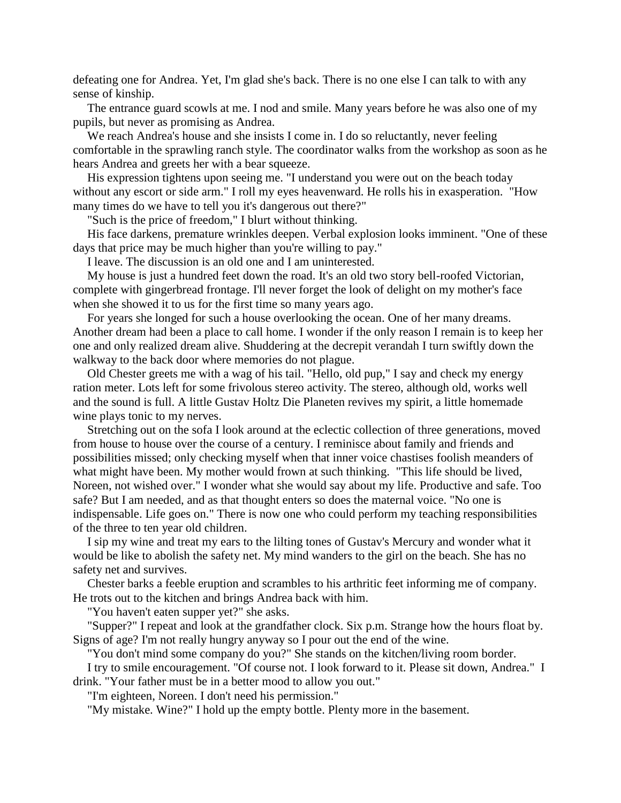defeating one for Andrea. Yet, I'm glad she's back. There is no one else I can talk to with any sense of kinship.

The entrance guard scowls at me. I nod and smile. Many years before he was also one of my pupils, but never as promising as Andrea.

We reach Andrea's house and she insists I come in. I do so reluctantly, never feeling comfortable in the sprawling ranch style. The coordinator walks from the workshop as soon as he hears Andrea and greets her with a bear squeeze.

His expression tightens upon seeing me. "I understand you were out on the beach today without any escort or side arm." I roll my eyes heavenward. He rolls his in exasperation. "How many times do we have to tell you it's dangerous out there?"

"Such is the price of freedom," I blurt without thinking.

His face darkens, premature wrinkles deepen. Verbal explosion looks imminent. "One of these days that price may be much higher than you're willing to pay."

I leave. The discussion is an old one and I am uninterested.

My house is just a hundred feet down the road. It's an old two story bell-roofed Victorian, complete with gingerbread frontage. I'll never forget the look of delight on my mother's face when she showed it to us for the first time so many years ago.

For years she longed for such a house overlooking the ocean. One of her many dreams. Another dream had been a place to call home. I wonder if the only reason I remain is to keep her one and only realized dream alive. Shuddering at the decrepit verandah I turn swiftly down the walkway to the back door where memories do not plague.

Old Chester greets me with a wag of his tail. "Hello, old pup," I say and check my energy ration meter. Lots left for some frivolous stereo activity. The stereo, although old, works well and the sound is full. A little Gustav Holtz Die Planeten revives my spirit, a little homemade wine plays tonic to my nerves.

Stretching out on the sofa I look around at the eclectic collection of three generations, moved from house to house over the course of a century. I reminisce about family and friends and possibilities missed; only checking myself when that inner voice chastises foolish meanders of what might have been. My mother would frown at such thinking. "This life should be lived, Noreen, not wished over." I wonder what she would say about my life. Productive and safe. Too safe? But I am needed, and as that thought enters so does the maternal voice. "No one is indispensable. Life goes on." There is now one who could perform my teaching responsibilities of the three to ten year old children.

I sip my wine and treat my ears to the lilting tones of Gustav's Mercury and wonder what it would be like to abolish the safety net. My mind wanders to the girl on the beach. She has no safety net and survives.

Chester barks a feeble eruption and scrambles to his arthritic feet informing me of company. He trots out to the kitchen and brings Andrea back with him.

"You haven't eaten supper yet?" she asks.

"Supper?" I repeat and look at the grandfather clock. Six p.m. Strange how the hours float by. Signs of age? I'm not really hungry anyway so I pour out the end of the wine.

"You don't mind some company do you?" She stands on the kitchen/living room border.

I try to smile encouragement. "Of course not. I look forward to it. Please sit down, Andrea." I drink. "Your father must be in a better mood to allow you out."

"I'm eighteen, Noreen. I don't need his permission."

"My mistake. Wine?" I hold up the empty bottle. Plenty more in the basement.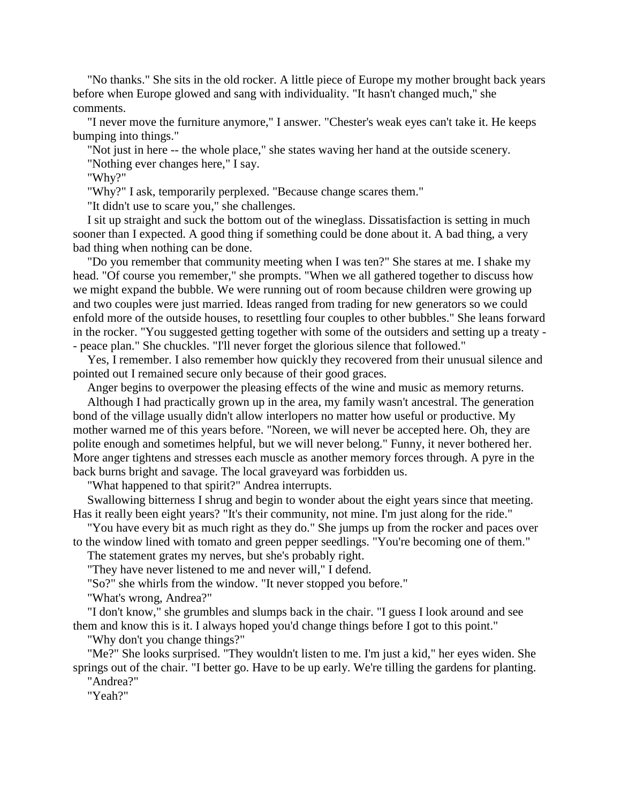"No thanks." She sits in the old rocker. A little piece of Europe my mother brought back years before when Europe glowed and sang with individuality. "It hasn't changed much," she comments.

"I never move the furniture anymore," I answer. "Chester's weak eyes can't take it. He keeps bumping into things."

"Not just in here -- the whole place," she states waving her hand at the outside scenery.

"Nothing ever changes here," I say.

"Why?"

"Why?" I ask, temporarily perplexed. "Because change scares them."

"It didn't use to scare you," she challenges.

I sit up straight and suck the bottom out of the wineglass. Dissatisfaction is setting in much sooner than I expected. A good thing if something could be done about it. A bad thing, a very bad thing when nothing can be done.

"Do you remember that community meeting when I was ten?" She stares at me. I shake my head. "Of course you remember," she prompts. "When we all gathered together to discuss how we might expand the bubble. We were running out of room because children were growing up and two couples were just married. Ideas ranged from trading for new generators so we could enfold more of the outside houses, to resettling four couples to other bubbles." She leans forward in the rocker. "You suggested getting together with some of the outsiders and setting up a treaty - - peace plan." She chuckles. "I'll never forget the glorious silence that followed."

Yes, I remember. I also remember how quickly they recovered from their unusual silence and pointed out I remained secure only because of their good graces.

Anger begins to overpower the pleasing effects of the wine and music as memory returns.

Although I had practically grown up in the area, my family wasn't ancestral. The generation bond of the village usually didn't allow interlopers no matter how useful or productive. My mother warned me of this years before. "Noreen, we will never be accepted here. Oh, they are polite enough and sometimes helpful, but we will never belong." Funny, it never bothered her. More anger tightens and stresses each muscle as another memory forces through. A pyre in the back burns bright and savage. The local graveyard was forbidden us.

"What happened to that spirit?" Andrea interrupts.

Swallowing bitterness I shrug and begin to wonder about the eight years since that meeting. Has it really been eight years? "It's their community, not mine. I'm just along for the ride."

"You have every bit as much right as they do." She jumps up from the rocker and paces over to the window lined with tomato and green pepper seedlings. "You're becoming one of them."

The statement grates my nerves, but she's probably right.

"They have never listened to me and never will," I defend.

"So?" she whirls from the window. "It never stopped you before."

"What's wrong, Andrea?"

"I don't know," she grumbles and slumps back in the chair. "I guess I look around and see them and know this is it. I always hoped you'd change things before I got to this point."

"Why don't you change things?"

"Me?" She looks surprised. "They wouldn't listen to me. I'm just a kid," her eyes widen. She springs out of the chair. "I better go. Have to be up early. We're tilling the gardens for planting. "Andrea?"

"Yeah?"